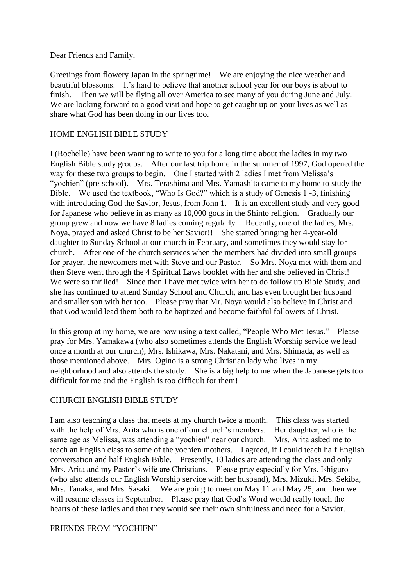Dear Friends and Family,

Greetings from flowery Japan in the springtime! We are enjoying the nice weather and beautiful blossoms. It's hard to believe that another school year for our boys is about to finish. Then we will be flying all over America to see many of you during June and July. We are looking forward to a good visit and hope to get caught up on your lives as well as share what God has been doing in our lives too.

## HOME ENGLISH BIBLE STUDY

I (Rochelle) have been wanting to write to you for a long time about the ladies in my two English Bible study groups. After our last trip home in the summer of 1997, God opened the way for these two groups to begin. One I started with 2 ladies I met from Melissa's "yochien" (pre-school). Mrs. Terashima and Mrs. Yamashita came to my home to study the Bible. We used the textbook, "Who Is God?" which is a study of Genesis 1 -3, finishing with introducing God the Savior, Jesus, from John 1. It is an excellent study and very good for Japanese who believe in as many as 10,000 gods in the Shinto religion. Gradually our group grew and now we have 8 ladies coming regularly. Recently, one of the ladies, Mrs. Noya, prayed and asked Christ to be her Savior!! She started bringing her 4-year-old daughter to Sunday School at our church in February, and sometimes they would stay for church. After one of the church services when the members had divided into small groups for prayer, the newcomers met with Steve and our Pastor. So Mrs. Noya met with them and then Steve went through the 4 Spiritual Laws booklet with her and she believed in Christ! We were so thrilled! Since then I have met twice with her to do follow up Bible Study, and she has continued to attend Sunday School and Church, and has even brought her husband and smaller son with her too. Please pray that Mr. Noya would also believe in Christ and that God would lead them both to be baptized and become faithful followers of Christ.

In this group at my home, we are now using a text called, "People Who Met Jesus." Please pray for Mrs. Yamakawa (who also sometimes attends the English Worship service we lead once a month at our church), Mrs. Ishikawa, Mrs. Nakatani, and Mrs. Shimada, as well as those mentioned above. Mrs. Ogino is a strong Christian lady who lives in my neighborhood and also attends the study. She is a big help to me when the Japanese gets too difficult for me and the English is too difficult for them!

## CHURCH ENGLISH BIBLE STUDY

I am also teaching a class that meets at my church twice a month. This class was started with the help of Mrs. Arita who is one of our church's members. Her daughter, who is the same age as Melissa, was attending a "yochien" near our church. Mrs. Arita asked me to teach an English class to some of the yochien mothers. I agreed, if I could teach half English conversation and half English Bible. Presently, 10 ladies are attending the class and only Mrs. Arita and my Pastor's wife are Christians. Please pray especially for Mrs. Ishiguro (who also attends our English Worship service with her husband), Mrs. Mizuki, Mrs. Sekiba, Mrs. Tanaka, and Mrs. Sasaki. We are going to meet on May 11 and May 25, and then we will resume classes in September. Please pray that God's Word would really touch the hearts of these ladies and that they would see their own sinfulness and need for a Savior.

## FRIENDS FROM "YOCHIEN"